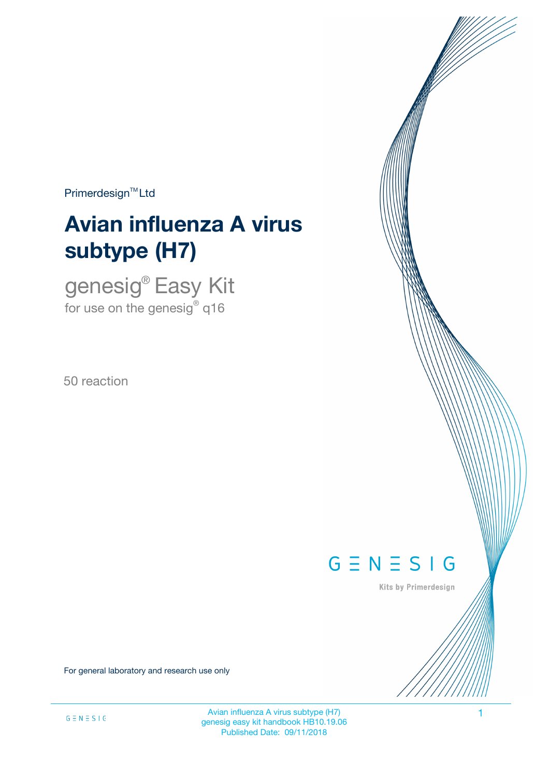$Primerdesign<sup>™</sup>Ltd$ 

# **Avian influenza A virus subtype (H7)**

genesig® Easy Kit for use on the genesig $^\circ$  q16

50 reaction



Kits by Primerdesign

For general laboratory and research use only

Avian influenza A virus subtype (H7) 1 genesig easy kit handbook HB10.19.06 Published Date: 09/11/2018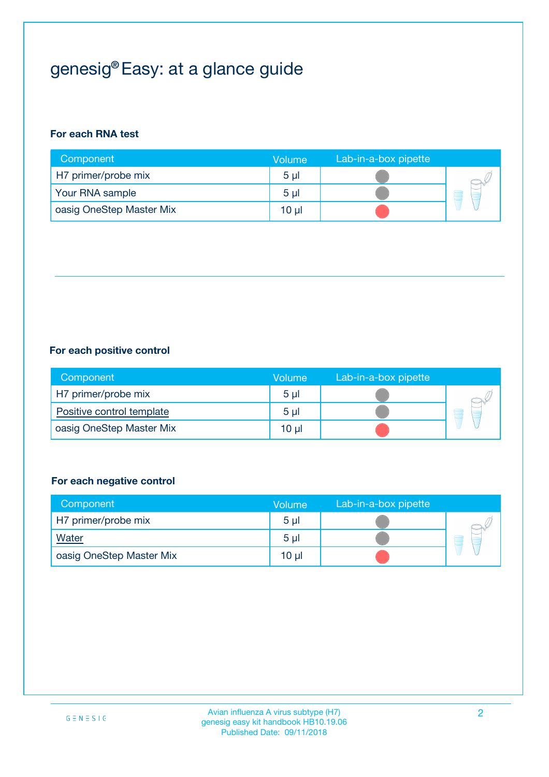## genesig® Easy: at a glance guide

#### **For each RNA test**

| Component                | <b>Volume</b>  | Lab-in-a-box pipette |  |
|--------------------------|----------------|----------------------|--|
| H7 primer/probe mix      | 5 <sub>µ</sub> |                      |  |
| Your RNA sample          | 5 <sub>µ</sub> |                      |  |
| oasig OneStep Master Mix | 10 µl          |                      |  |

#### **For each positive control**

| Component                 | Volume         | Lab-in-a-box pipette |  |
|---------------------------|----------------|----------------------|--|
| H7 primer/probe mix       | 5 <sub>µ</sub> |                      |  |
| Positive control template | 5 <sub>µ</sub> |                      |  |
| oasig OneStep Master Mix  | 10 µl          |                      |  |

#### **For each negative control**

| Component                | Volume         | Lab-in-a-box pipette |   |
|--------------------------|----------------|----------------------|---|
| H7 primer/probe mix      | 5 <sub>µ</sub> |                      |   |
| Water                    | 5 <sub>µ</sub> |                      | - |
| oasig OneStep Master Mix | 10 µl          |                      |   |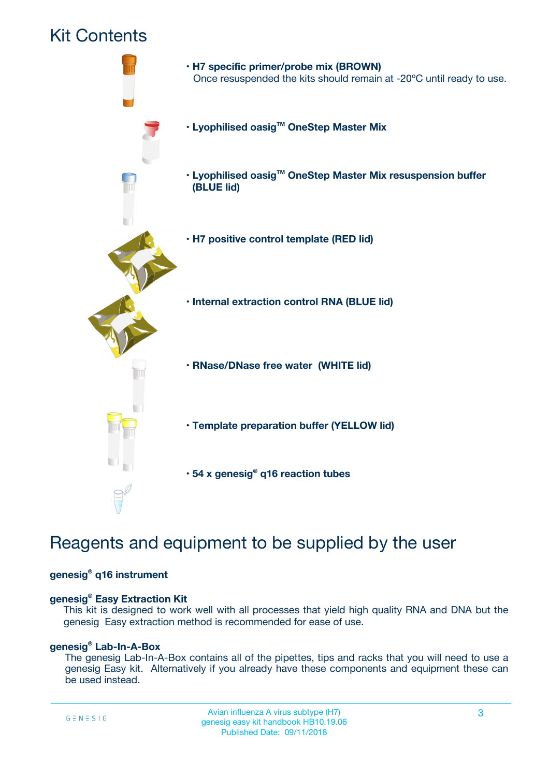### Kit Contents



### Reagents and equipment to be supplied by the user

#### **genesig® q16 instrument**

#### **genesig® Easy Extraction Kit**

This kit is designed to work well with all processes that yield high quality RNA and DNA but the genesig Easy extraction method is recommended for ease of use.

#### **genesig® Lab-In-A-Box**

The genesig Lab-In-A-Box contains all of the pipettes, tips and racks that you will need to use a genesig Easy kit. Alternatively if you already have these components and equipment these can be used instead.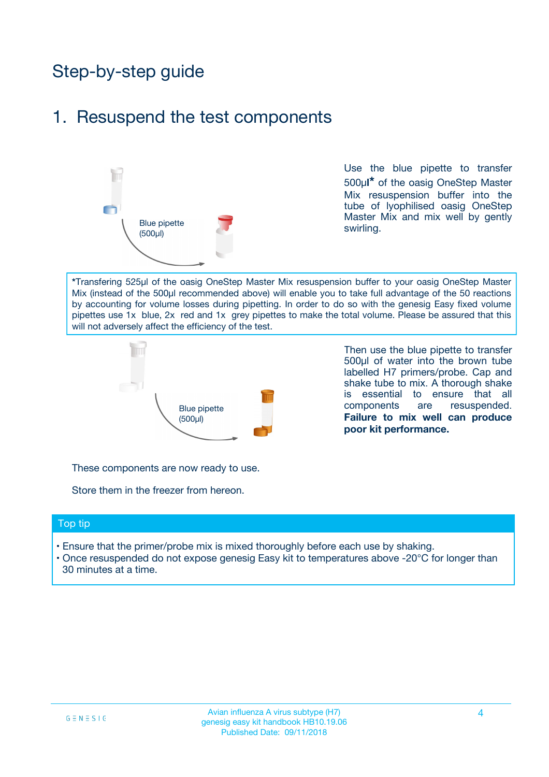## Step-by-step guide

### 1. Resuspend the test components



Use the blue pipette to transfer 500µ**l\*** of the oasig OneStep Master Mix resuspension buffer into the tube of lyophilised oasig OneStep Master Mix and mix well by gently swirling.

**\***Transfering 525µl of the oasig OneStep Master Mix resuspension buffer to your oasig OneStep Master Mix (instead of the 500µl recommended above) will enable you to take full advantage of the 50 reactions by accounting for volume losses during pipetting. In order to do so with the genesig Easy fixed volume pipettes use 1x blue, 2x red and 1x grey pipettes to make the total volume. Please be assured that this will not adversely affect the efficiency of the test.



Then use the blue pipette to transfer 500µl of water into the brown tube labelled H7 primers/probe. Cap and shake tube to mix. A thorough shake is essential to ensure that all components are resuspended. **Failure to mix well can produce poor kit performance.**

These components are now ready to use.

Store them in the freezer from hereon.

#### Top tip

- Ensure that the primer/probe mix is mixed thoroughly before each use by shaking.
- Once resuspended do not expose genesig Easy kit to temperatures above -20°C for longer than 30 minutes at a time.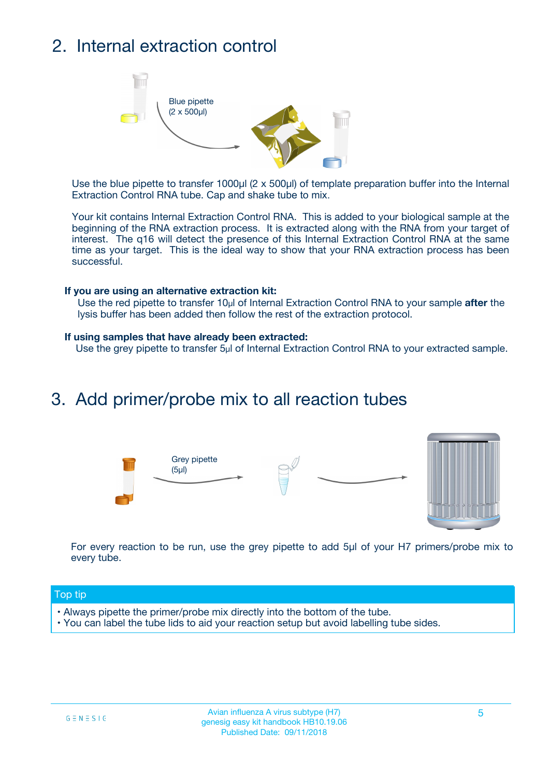## 2. Internal extraction control



Use the blue pipette to transfer 1000µl (2 x 500µl) of template preparation buffer into the Internal Extraction Control RNA tube. Cap and shake tube to mix.

Your kit contains Internal Extraction Control RNA. This is added to your biological sample at the beginning of the RNA extraction process. It is extracted along with the RNA from your target of interest. The q16 will detect the presence of this Internal Extraction Control RNA at the same time as your target. This is the ideal way to show that your RNA extraction process has been successful.

#### **If you are using an alternative extraction kit:**

Use the red pipette to transfer 10µl of Internal Extraction Control RNA to your sample **after** the lysis buffer has been added then follow the rest of the extraction protocol.

#### **If using samples that have already been extracted:**

Use the grey pipette to transfer 5µl of Internal Extraction Control RNA to your extracted sample.

### 3. Add primer/probe mix to all reaction tubes





For every reaction to be run, use the grey pipette to add 5µl of your H7 primers/probe mix to every tube.

#### Top tip

- Always pipette the primer/probe mix directly into the bottom of the tube.
- You can label the tube lids to aid your reaction setup but avoid labelling tube sides.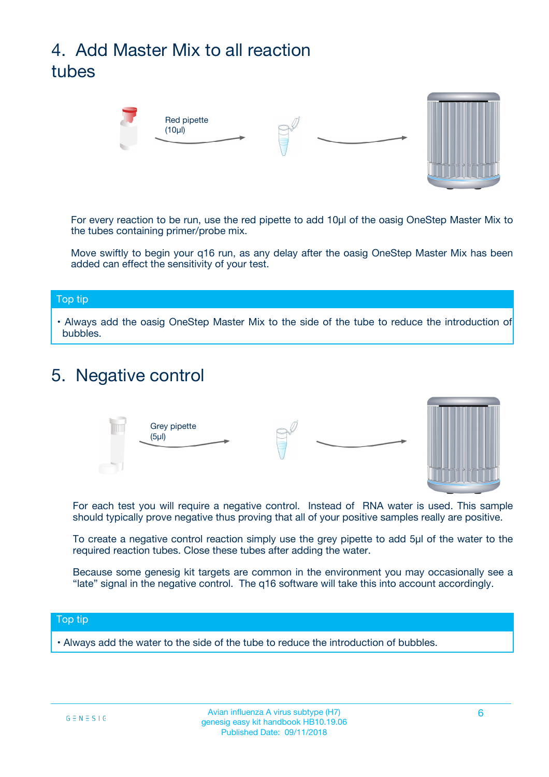## 4. Add Master Mix to all reaction tubes



For every reaction to be run, use the red pipette to add 10µl of the oasig OneStep Master Mix to the tubes containing primer/probe mix.

Move swiftly to begin your q16 run, as any delay after the oasig OneStep Master Mix has been added can effect the sensitivity of your test.

#### Top tip

**•** Always add the oasig OneStep Master Mix to the side of the tube to reduce the introduction of bubbles.

### 5. Negative control



For each test you will require a negative control. Instead of RNA water is used. This sample should typically prove negative thus proving that all of your positive samples really are positive.

To create a negative control reaction simply use the grey pipette to add 5µl of the water to the required reaction tubes. Close these tubes after adding the water.

Because some genesig kit targets are common in the environment you may occasionally see a "late" signal in the negative control. The q16 software will take this into account accordingly.

#### Top tip

**•** Always add the water to the side of the tube to reduce the introduction of bubbles.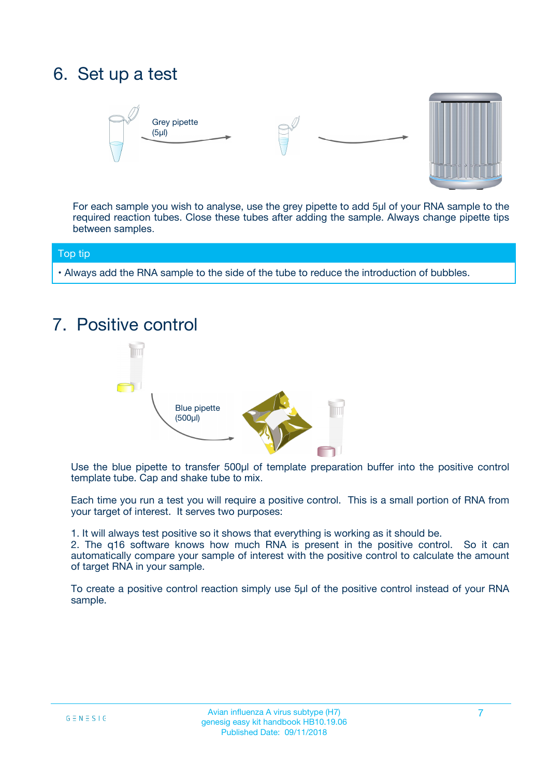### 6. Set up a test





For each sample you wish to analyse, use the grey pipette to add 5µl of your RNA sample to the required reaction tubes. Close these tubes after adding the sample. Always change pipette tips between samples.

#### Top tip

**•** Always add the RNA sample to the side of the tube to reduce the introduction of bubbles.

### 7. Positive control



Use the blue pipette to transfer 500µl of template preparation buffer into the positive control template tube. Cap and shake tube to mix.

Each time you run a test you will require a positive control. This is a small portion of RNA from your target of interest. It serves two purposes:

1. It will always test positive so it shows that everything is working as it should be.

2. The q16 software knows how much RNA is present in the positive control. So it can automatically compare your sample of interest with the positive control to calculate the amount of target RNA in your sample.

To create a positive control reaction simply use 5µl of the positive control instead of your RNA sample.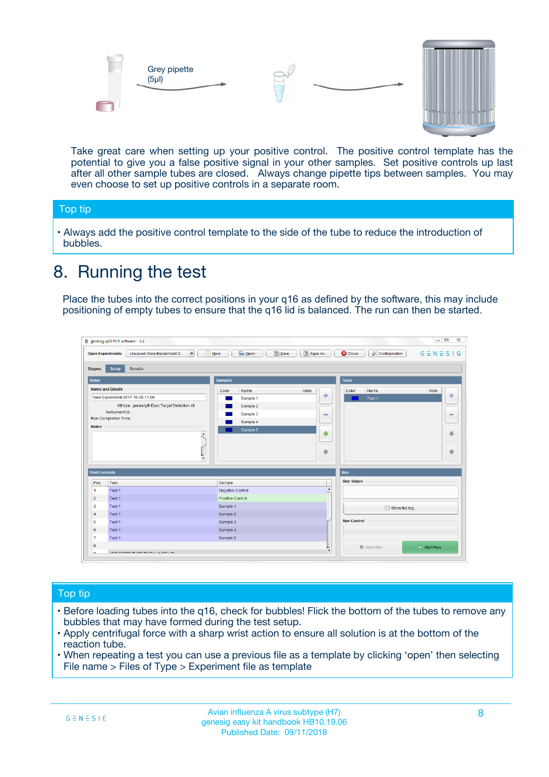



Take great care when setting up your positive control. The positive control template has the potential to give you a false positive signal in your other samples. Set positive controls up last after all other sample tubes are closed. Always change pipette tips between samples. You may even choose to set up positive controls in a separate room.

#### Top tip

**•** Always add the positive control template to the side of the tube to reduce the introduction of bubbles.

### 8. Running the test

Place the tubes into the correct positions in your q16 as defined by the software, this may include positioning of empty tubes to ensure that the q16 lid is balanced. The run can then be started.

|                                                | Unsaved (New Experiment 2<br><b>Open Experiments:</b><br>$\overline{\phantom{a}}$ | <b>E</b> Open<br>Save<br>$\Box$ New | Save As          | <b>C</b> Close<br>Configuration | $G \equiv N \equiv S \mid G$ |
|------------------------------------------------|-----------------------------------------------------------------------------------|-------------------------------------|------------------|---------------------------------|------------------------------|
| <b>Stages:</b>                                 | Setup<br><b>Results</b>                                                           |                                     |                  |                                 |                              |
| <b>Notes</b>                                   |                                                                                   | <b>Samples</b>                      |                  | <b>Tests</b>                    |                              |
|                                                | <b>Name and Details</b>                                                           | Color<br>Name                       | Note             | Color<br>Name                   | Note                         |
|                                                | New Experiment 2017-10-26 11:06                                                   | Sample 1                            | 4                | Test 1                          | 4                            |
|                                                | Kit type: genesig® Easy Target Detection kit                                      | Sample 2                            |                  |                                 |                              |
|                                                | Instrument Id.:                                                                   | Sample 3                            | $\equiv$         |                                 | $\equiv$                     |
|                                                | <b>Run Completion Time:</b>                                                       | Sample 4                            |                  |                                 |                              |
| <b>Notes</b>                                   | $\blacktriangle$                                                                  | Sample 5                            | ♦                |                                 | 傦                            |
|                                                |                                                                                   |                                     |                  |                                 |                              |
|                                                | $\overline{\mathbf{v}}$                                                           |                                     | ÷                |                                 |                              |
| <b>Well Contents</b>                           |                                                                                   |                                     |                  | Run                             | ⊕                            |
|                                                | Test                                                                              | Sample                              |                  | <b>Run Status</b>               |                              |
|                                                | Test 1                                                                            | Negative Control                    | $\blacktriangle$ |                                 |                              |
| Pos.<br>$\blacktriangleleft$<br>$\overline{2}$ | Test 1                                                                            | Positive Control                    |                  |                                 |                              |
| 3                                              | Test 1                                                                            | Sample 1                            |                  |                                 |                              |
|                                                | Test 1                                                                            | Sample 2                            |                  | Show full log                   |                              |
| $\overline{4}$<br>5                            | Test 1                                                                            | Sample 3                            |                  | <b>Run Control</b>              |                              |
|                                                | Test 1                                                                            | Sample 4                            |                  |                                 |                              |
| 6<br>$\overline{7}$                            | Test 1                                                                            | Sample 5                            |                  |                                 |                              |

#### Top tip

- Before loading tubes into the q16, check for bubbles! Flick the bottom of the tubes to remove any bubbles that may have formed during the test setup.
- Apply centrifugal force with a sharp wrist action to ensure all solution is at the bottom of the reaction tube.
- When repeating a test you can use a previous file as a template by clicking 'open' then selecting File name > Files of Type > Experiment file as template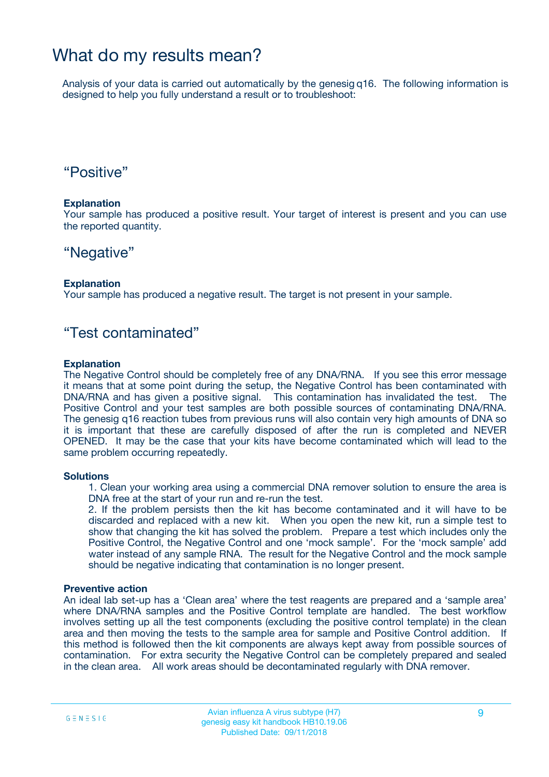### What do my results mean?

Analysis of your data is carried out automatically by the genesig q16. The following information is designed to help you fully understand a result or to troubleshoot:

### "Positive"

#### **Explanation**

Your sample has produced a positive result. Your target of interest is present and you can use the reported quantity.

### "Negative"

#### **Explanation**

Your sample has produced a negative result. The target is not present in your sample.

### "Test contaminated"

#### **Explanation**

The Negative Control should be completely free of any DNA/RNA. If you see this error message it means that at some point during the setup, the Negative Control has been contaminated with DNA/RNA and has given a positive signal. This contamination has invalidated the test. The Positive Control and your test samples are both possible sources of contaminating DNA/RNA. The genesig q16 reaction tubes from previous runs will also contain very high amounts of DNA so it is important that these are carefully disposed of after the run is completed and NEVER OPENED. It may be the case that your kits have become contaminated which will lead to the same problem occurring repeatedly.

#### **Solutions**

1. Clean your working area using a commercial DNA remover solution to ensure the area is DNA free at the start of your run and re-run the test.

2. If the problem persists then the kit has become contaminated and it will have to be discarded and replaced with a new kit. When you open the new kit, run a simple test to show that changing the kit has solved the problem. Prepare a test which includes only the Positive Control, the Negative Control and one 'mock sample'. For the 'mock sample' add water instead of any sample RNA. The result for the Negative Control and the mock sample should be negative indicating that contamination is no longer present.

#### **Preventive action**

An ideal lab set-up has a 'Clean area' where the test reagents are prepared and a 'sample area' where DNA/RNA samples and the Positive Control template are handled. The best workflow involves setting up all the test components (excluding the positive control template) in the clean area and then moving the tests to the sample area for sample and Positive Control addition. If this method is followed then the kit components are always kept away from possible sources of contamination. For extra security the Negative Control can be completely prepared and sealed in the clean area. All work areas should be decontaminated regularly with DNA remover.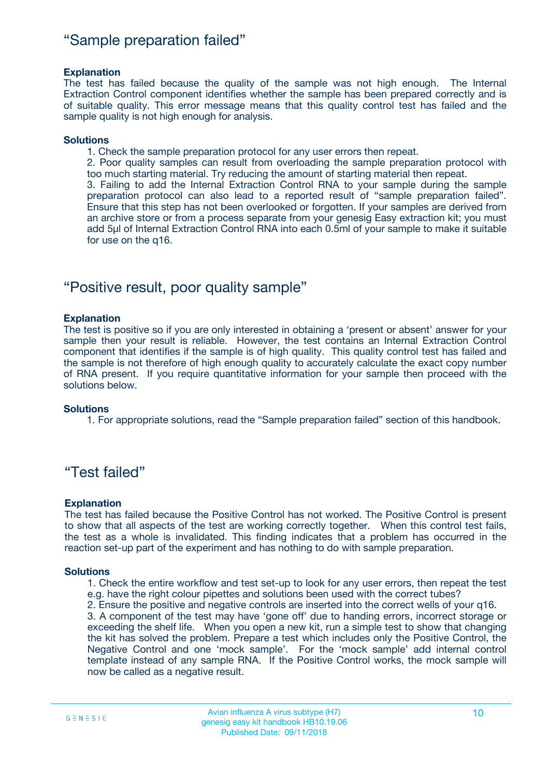### "Sample preparation failed"

#### **Explanation**

The test has failed because the quality of the sample was not high enough. The Internal Extraction Control component identifies whether the sample has been prepared correctly and is of suitable quality. This error message means that this quality control test has failed and the sample quality is not high enough for analysis.

#### **Solutions**

1. Check the sample preparation protocol for any user errors then repeat.

2. Poor quality samples can result from overloading the sample preparation protocol with too much starting material. Try reducing the amount of starting material then repeat.

3. Failing to add the Internal Extraction Control RNA to your sample during the sample preparation protocol can also lead to a reported result of "sample preparation failed". Ensure that this step has not been overlooked or forgotten. If your samples are derived from an archive store or from a process separate from your genesig Easy extraction kit; you must add 5µl of Internal Extraction Control RNA into each 0.5ml of your sample to make it suitable for use on the q16.

### "Positive result, poor quality sample"

#### **Explanation**

The test is positive so if you are only interested in obtaining a 'present or absent' answer for your sample then your result is reliable. However, the test contains an Internal Extraction Control component that identifies if the sample is of high quality. This quality control test has failed and the sample is not therefore of high enough quality to accurately calculate the exact copy number of RNA present. If you require quantitative information for your sample then proceed with the solutions below.

#### **Solutions**

1. For appropriate solutions, read the "Sample preparation failed" section of this handbook.

### "Test failed"

#### **Explanation**

The test has failed because the Positive Control has not worked. The Positive Control is present to show that all aspects of the test are working correctly together. When this control test fails, the test as a whole is invalidated. This finding indicates that a problem has occurred in the reaction set-up part of the experiment and has nothing to do with sample preparation.

#### **Solutions**

1. Check the entire workflow and test set-up to look for any user errors, then repeat the test e.g. have the right colour pipettes and solutions been used with the correct tubes?

2. Ensure the positive and negative controls are inserted into the correct wells of your q16.

3. A component of the test may have 'gone off' due to handing errors, incorrect storage or exceeding the shelf life. When you open a new kit, run a simple test to show that changing the kit has solved the problem. Prepare a test which includes only the Positive Control, the Negative Control and one 'mock sample'. For the 'mock sample' add internal control template instead of any sample RNA. If the Positive Control works, the mock sample will now be called as a negative result.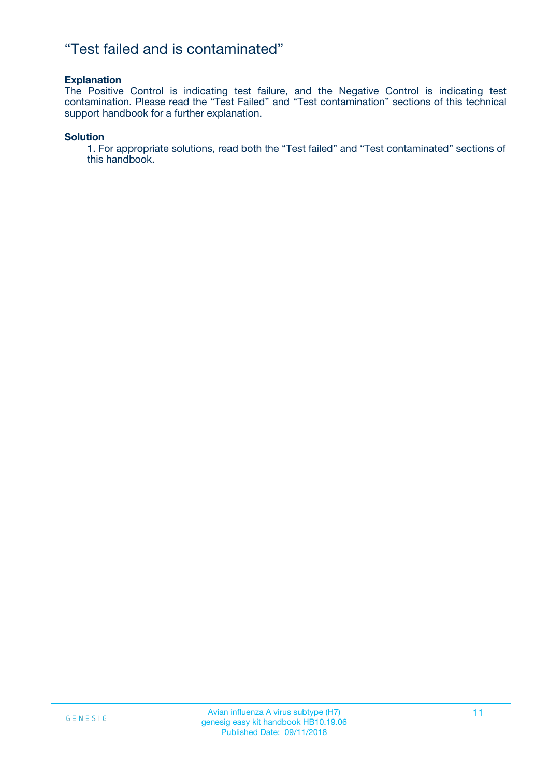### "Test failed and is contaminated"

#### **Explanation**

The Positive Control is indicating test failure, and the Negative Control is indicating test contamination. Please read the "Test Failed" and "Test contamination" sections of this technical support handbook for a further explanation.

#### **Solution**

1. For appropriate solutions, read both the "Test failed" and "Test contaminated" sections of this handbook.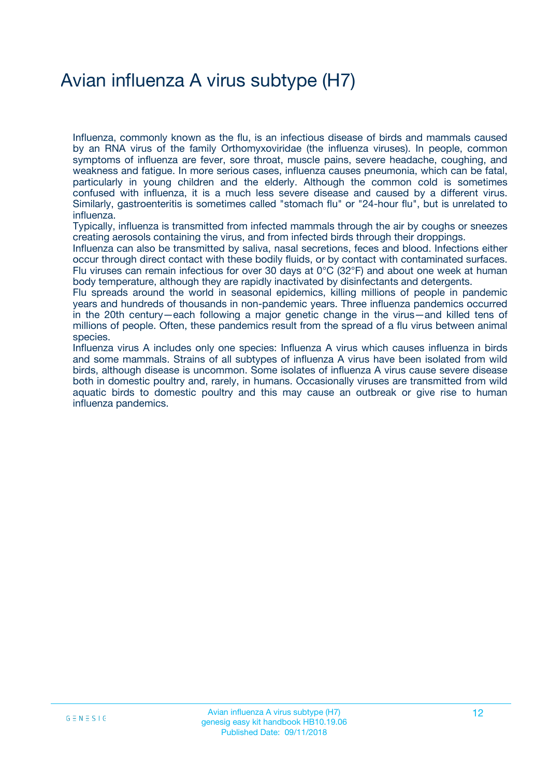## Avian influenza A virus subtype (H7)

Influenza, commonly known as the flu, is an infectious disease of birds and mammals caused by an RNA virus of the family Orthomyxoviridae (the influenza viruses). In people, common symptoms of influenza are fever, sore throat, muscle pains, severe headache, coughing, and weakness and fatigue. In more serious cases, influenza causes pneumonia, which can be fatal, particularly in young children and the elderly. Although the common cold is sometimes confused with influenza, it is a much less severe disease and caused by a different virus. Similarly, gastroenteritis is sometimes called "stomach flu" or "24-hour flu", but is unrelated to influenza.

Typically, influenza is transmitted from infected mammals through the air by coughs or sneezes creating aerosols containing the virus, and from infected birds through their droppings.

Influenza can also be transmitted by saliva, nasal secretions, feces and blood. Infections either occur through direct contact with these bodily fluids, or by contact with contaminated surfaces. Flu viruses can remain infectious for over 30 days at 0°C (32°F) and about one week at human body temperature, although they are rapidly inactivated by disinfectants and detergents.

Flu spreads around the world in seasonal epidemics, killing millions of people in pandemic years and hundreds of thousands in non-pandemic years. Three influenza pandemics occurred in the 20th century—each following a major genetic change in the virus—and killed tens of millions of people. Often, these pandemics result from the spread of a flu virus between animal species.

Influenza virus A includes only one species: Influenza A virus which causes influenza in birds and some mammals. Strains of all subtypes of influenza A virus have been isolated from wild birds, although disease is uncommon. Some isolates of influenza A virus cause severe disease both in domestic poultry and, rarely, in humans. Occasionally viruses are transmitted from wild aquatic birds to domestic poultry and this may cause an outbreak or give rise to human influenza pandemics.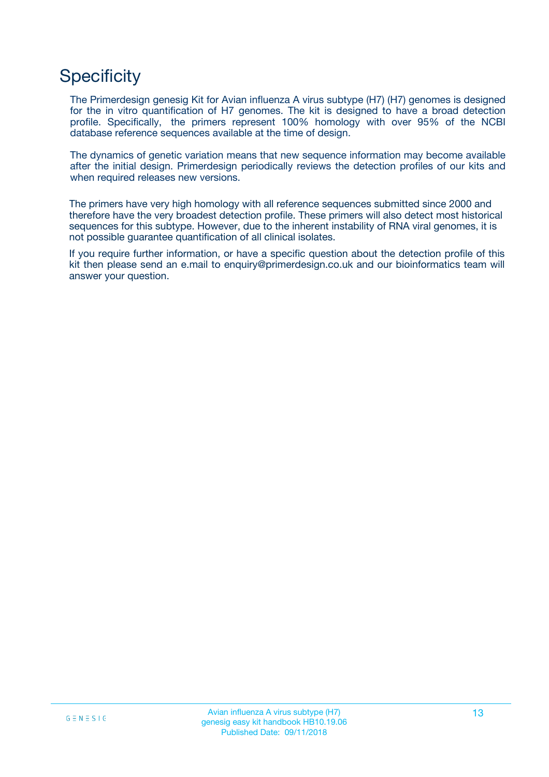### **Specificity**

The Primerdesign genesig Kit for Avian influenza A virus subtype (H7) (H7) genomes is designed for the in vitro quantification of H7 genomes. The kit is designed to have a broad detection profile. Specifically, the primers represent 100% homology with over 95% of the NCBI database reference sequences available at the time of design.

The dynamics of genetic variation means that new sequence information may become available after the initial design. Primerdesign periodically reviews the detection profiles of our kits and when required releases new versions.

The primers have very high homology with all reference sequences submitted since 2000 and therefore have the very broadest detection profile. These primers will also detect most historical sequences for this subtype. However, due to the inherent instability of RNA viral genomes, it is not possible guarantee quantification of all clinical isolates.

If you require further information, or have a specific question about the detection profile of this kit then please send an e.mail to enquiry@primerdesign.co.uk and our bioinformatics team will answer your question.